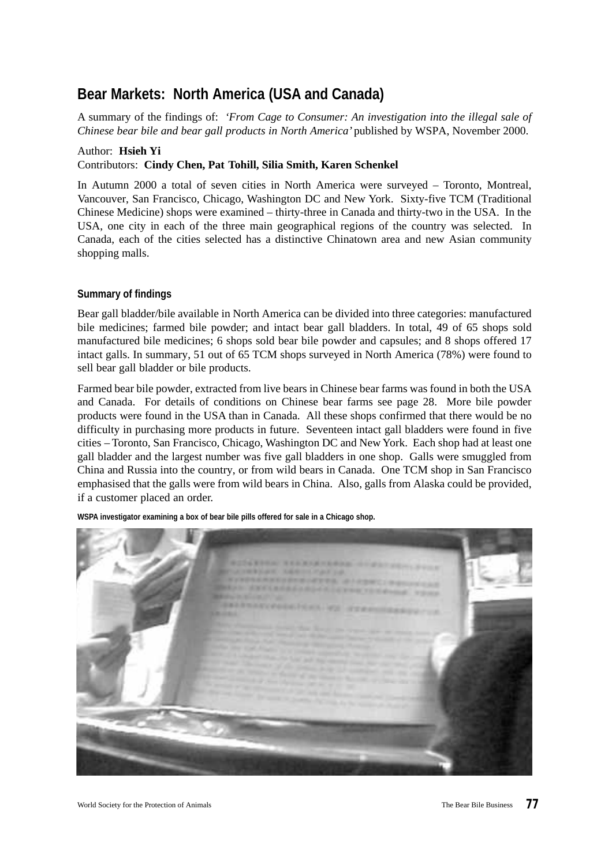# **Bear Markets: North America (USA and Canada)**

A summary of the findings of: *'From Cage to Consumer: An investigation into the illegal sale of Chinese bear bile and bear gall products in North America'* published by WSPA, November 2000.

#### Author: **Hsieh Yi**

## Contributors: **Cindy Chen, Pat Tohill, Silia Smith, Karen Schenkel**

In Autumn 2000 a total of seven cities in North America were surveyed – Toronto, Montreal, Vancouver, San Francisco, Chicago, Washington DC and New York. Sixty-five TCM (Traditional Chinese Medicine) shops were examined – thirty-three in Canada and thirty-two in the USA. In the USA, one city in each of the three main geographical regions of the country was selected. In Canada, each of the cities selected has a distinctive Chinatown area and new Asian community shopping malls.

#### **Summary of findings**

Bear gall bladder/bile available in North America can be divided into three categories: manufactured bile medicines; farmed bile powder; and intact bear gall bladders. In total, 49 of 65 shops sold manufactured bile medicines; 6 shops sold bear bile powder and capsules; and 8 shops offered 17 intact galls. In summary, 51 out of 65 TCM shops surveyed in North America (78%) were found to sell bear gall bladder or bile products.

Farmed bear bile powder, extracted from live bears in Chinese bear farms was found in both the USA and Canada. For details of conditions on Chinese bear farms see page 28. More bile powder products were found in the USA than in Canada. All these shops confirmed that there would be no difficulty in purchasing more products in future. Seventeen intact gall bladders were found in five cities – Toronto, San Francisco, Chicago, Washington DC and New York. Each shop had at least one gall bladder and the largest number was five gall bladders in one shop. Galls were smuggled from China and Russia into the country, or from wild bears in Canada. One TCM shop in San Francisco emphasised that the galls were from wild bears in China. Also, galls from Alaska could be provided, if a customer placed an order.



**WSPA investigator examining a box of bear bile pills offered for sale in a Chicago shop.**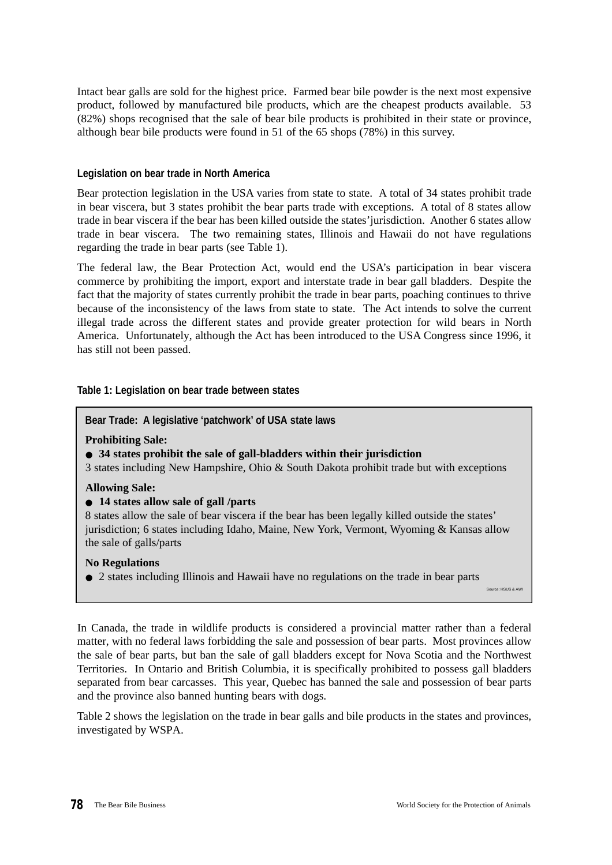Intact bear galls are sold for the highest price. Farmed bear bile powder is the next most expensive product, followed by manufactured bile products, which are the cheapest products available. 53 (82%) shops recognised that the sale of bear bile products is prohibited in their state or province, although bear bile products were found in 51 of the 65 shops (78%) in this survey.

#### **Legislation on bear trade in North America**

Bear protection legislation in the USA varies from state to state. A total of 34 states prohibit trade in bear viscera, but 3 states prohibit the bear parts trade with exceptions. A total of 8 states allow trade in bear viscera if the bear has been killed outside the states'jurisdiction. Another 6 states allow trade in bear viscera. The two remaining states, Illinois and Hawaii do not have regulations regarding the trade in bear parts (see Table 1).

The federal law, the Bear Protection Act, would end the USA's participation in bear viscera commerce by prohibiting the import, export and interstate trade in bear gall bladders. Despite the fact that the majority of states currently prohibit the trade in bear parts, poaching continues to thrive because of the inconsistency of the laws from state to state. The Act intends to solve the current illegal trade across the different states and provide greater protection for wild bears in North America. Unfortunately, although the Act has been introduced to the USA Congress since 1996, it has still not been passed.

#### **Table 1: Legislation on bear trade between states**

#### **Bear Trade: A legislative 'patchwork' of USA state laws**

#### **Prohibiting Sale:**

#### ● **34 states prohibit the sale of gall-bladders within their jurisdiction**

3 states including New Hampshire, Ohio & South Dakota prohibit trade but with exceptions

#### **Allowing Sale:**

#### ● **14 states allow sale of gall /parts**

8 states allow the sale of bear viscera if the bear has been legally killed outside the states' jurisdiction; 6 states including Idaho, Maine, New York, Vermont, Wyoming & Kansas allow the sale of galls/parts

#### **No Regulations**

● 2 states including Illinois and Hawaii have no regulations on the trade in bear parts

Source: HSUS & AWI

In Canada, the trade in wildlife products is considered a provincial matter rather than a federal matter, with no federal laws forbidding the sale and possession of bear parts. Most provinces allow the sale of bear parts, but ban the sale of gall bladders except for Nova Scotia and the Northwest Territories. In Ontario and British Columbia, it is specifically prohibited to possess gall bladders separated from bear carcasses. This year, Quebec has banned the sale and possession of bear parts and the province also banned hunting bears with dogs.

Table 2 shows the legislation on the trade in bear galls and bile products in the states and provinces, investigated by WSPA.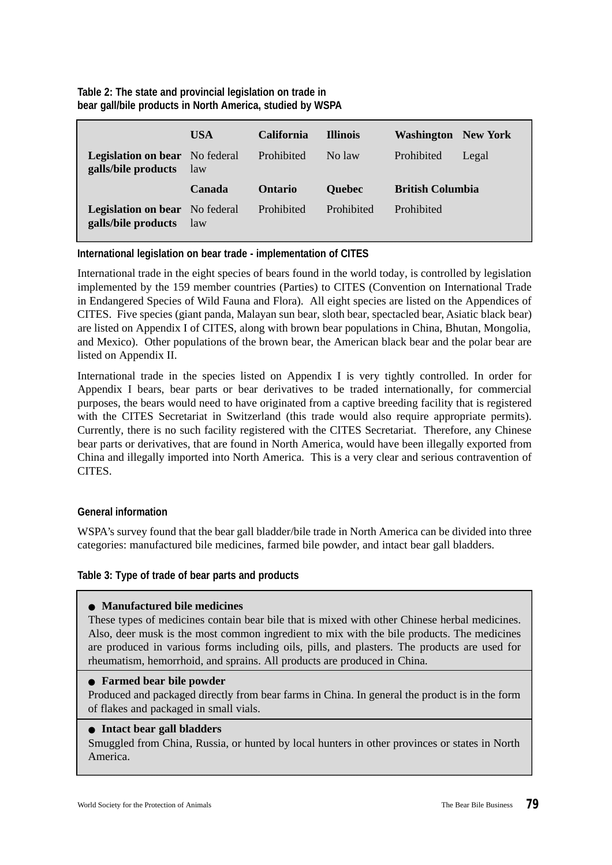# **Table 2: The state and provincial legislation on trade in bear gall/bile products in North America, studied by WSPA**

|                                                              | <b>USA</b> | <b>California</b> | <b>Illinois</b> | <b>Washington</b> New York |       |
|--------------------------------------------------------------|------------|-------------------|-----------------|----------------------------|-------|
| <b>Legislation on bear</b> No federal<br>galls/bile products | law        | Prohibited        | No law          | Prohibited                 | Legal |
|                                                              |            |                   |                 |                            |       |
|                                                              | Canada     | <b>Ontario</b>    | <b>Quebec</b>   | <b>British Columbia</b>    |       |

# **International legislation on bear trade - implementation of CITES**

International trade in the eight species of bears found in the world today, is controlled by legislation implemented by the 159 member countries (Parties) to CITES (Convention on International Trade in Endangered Species of Wild Fauna and Flora). All eight species are listed on the Appendices of CITES. Five species (giant panda, Malayan sun bear, sloth bear, spectacled bear, Asiatic black bear) are listed on Appendix I of CITES, along with brown bear populations in China, Bhutan, Mongolia, and Mexico). Other populations of the brown bear, the American black bear and the polar bear are listed on Appendix II.

International trade in the species listed on Appendix I is very tightly controlled. In order for Appendix I bears, bear parts or bear derivatives to be traded internationally, for commercial purposes, the bears would need to have originated from a captive breeding facility that is registered with the CITES Secretariat in Switzerland (this trade would also require appropriate permits). Currently, there is no such facility registered with the CITES Secretariat. Therefore, any Chinese bear parts or derivatives, that are found in North America, would have been illegally exported from China and illegally imported into North America. This is a very clear and serious contravention of **CITES** 

# **General information**

WSPA's survey found that the bear gall bladder/bile trade in North America can be divided into three categories: manufactured bile medicines, farmed bile powder, and intact bear gall bladders.

# **Table 3: Type of trade of bear parts and products**

#### ● **Manufactured bile medicines**

These types of medicines contain bear bile that is mixed with other Chinese herbal medicines. Also, deer musk is the most common ingredient to mix with the bile products. The medicines are produced in various forms including oils, pills, and plasters. The products are used for rheumatism, hemorrhoid, and sprains. All products are produced in China.

#### ● **Farmed bear bile powder**

Produced and packaged directly from bear farms in China. In general the product is in the form of flakes and packaged in small vials.

#### ● **Intact bear gall bladders**

Smuggled from China, Russia, or hunted by local hunters in other provinces or states in North America.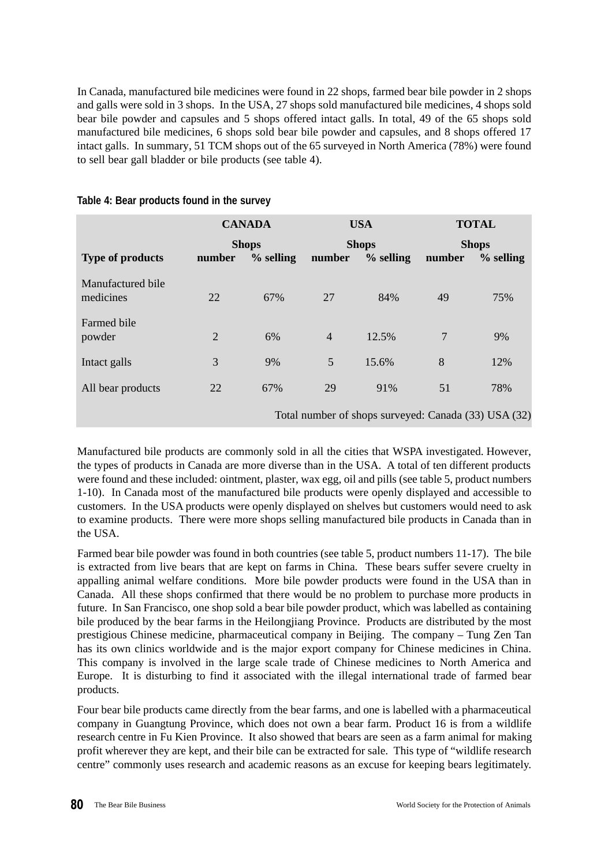In Canada, manufactured bile medicines were found in 22 shops, farmed bear bile powder in 2 shops and galls were sold in 3 shops. In the USA, 27 shops sold manufactured bile medicines, 4 shops sold bear bile powder and capsules and 5 shops offered intact galls. In total, 49 of the 65 shops sold manufactured bile medicines, 6 shops sold bear bile powder and capsules, and 8 shops offered 17 intact galls. In summary, 51 TCM shops out of the 65 surveyed in North America (78%) were found to sell bear gall bladder or bile products (see table 4).

|                                | <b>CANADA</b>  |             | <b>USA</b>     |                                                      | <b>TOTAL</b> |             |
|--------------------------------|----------------|-------------|----------------|------------------------------------------------------|--------------|-------------|
|                                | <b>Shops</b>   |             | <b>Shops</b>   |                                                      | <b>Shops</b> |             |
| <b>Type of products</b>        | number         | $%$ selling | number         | $%$ selling                                          | number       | $%$ selling |
| Manufactured bile<br>medicines | 22             | 67%         | 27             | 84%                                                  | 49           | 75%         |
| Farmed bile<br>powder          | $\overline{2}$ | 6%          | $\overline{4}$ | 12.5%                                                | 7            | 9%          |
| Intact galls                   | 3              | 9%          | 5              | 15.6%                                                | 8            | 12%         |
| All bear products              | 22             | 67%         | 29             | 91%                                                  | 51           | 78%         |
|                                |                |             |                | Total number of shops surveyed: Canada (33) USA (32) |              |             |

## **Table 4: Bear products found in the survey**

Manufactured bile products are commonly sold in all the cities that WSPA investigated. However, the types of products in Canada are more diverse than in the USA. A total of ten different products were found and these included: ointment, plaster, wax egg, oil and pills (see table 5, product numbers 1-10). In Canada most of the manufactured bile products were openly displayed and accessible to customers. In the USA products were openly displayed on shelves but customers would need to ask to examine products. There were more shops selling manufactured bile products in Canada than in the USA.

Farmed bear bile powder was found in both countries (see table 5, product numbers 11-17). The bile is extracted from live bears that are kept on farms in China. These bears suffer severe cruelty in appalling animal welfare conditions. More bile powder products were found in the USA than in Canada. All these shops confirmed that there would be no problem to purchase more products in future. In San Francisco, one shop sold a bear bile powder product, which was labelled as containing bile produced by the bear farms in the Heilongjiang Province. Products are distributed by the most prestigious Chinese medicine, pharmaceutical company in Beijing. The company – Tung Zen Tan has its own clinics worldwide and is the major export company for Chinese medicines in China. This company is involved in the large scale trade of Chinese medicines to North America and Europe. It is disturbing to find it associated with the illegal international trade of farmed bear products.

Four bear bile products came directly from the bear farms, and one is labelled with a pharmaceutical company in Guangtung Province, which does not own a bear farm. Product 16 is from a wildlife research centre in Fu Kien Province. It also showed that bears are seen as a farm animal for making profit wherever they are kept, and their bile can be extracted for sale. This type of "wildlife research centre" commonly uses research and academic reasons as an excuse for keeping bears legitimately.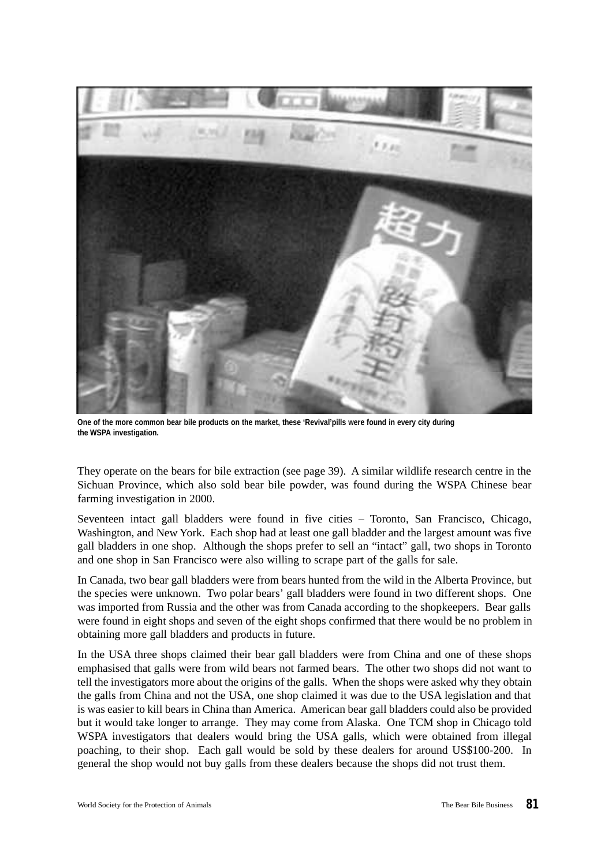

**One of the more common bear bile products on the market, these 'Revival'pills were found in every city during the WSPA investigation.**

They operate on the bears for bile extraction (see page 39). A similar wildlife research centre in the Sichuan Province, which also sold bear bile powder, was found during the WSPA Chinese bear farming investigation in 2000.

Seventeen intact gall bladders were found in five cities – Toronto, San Francisco, Chicago, Washington, and New York. Each shop had at least one gall bladder and the largest amount was five gall bladders in one shop. Although the shops prefer to sell an "intact" gall, two shops in Toronto and one shop in San Francisco were also willing to scrape part of the galls for sale.

In Canada, two bear gall bladders were from bears hunted from the wild in the Alberta Province, but the species were unknown. Two polar bears' gall bladders were found in two different shops. One was imported from Russia and the other was from Canada according to the shopkeepers. Bear galls were found in eight shops and seven of the eight shops confirmed that there would be no problem in obtaining more gall bladders and products in future.

In the USA three shops claimed their bear gall bladders were from China and one of these shops emphasised that galls were from wild bears not farmed bears. The other two shops did not want to tell the investigators more about the origins of the galls. When the shops were asked why they obtain the galls from China and not the USA, one shop claimed it was due to the USA legislation and that is was easier to kill bears in China than America. American bear gall bladders could also be provided but it would take longer to arrange. They may come from Alaska. One TCM shop in Chicago told WSPA investigators that dealers would bring the USA galls, which were obtained from illegal poaching, to their shop. Each gall would be sold by these dealers for around US\$100-200. In general the shop would not buy galls from these dealers because the shops did not trust them.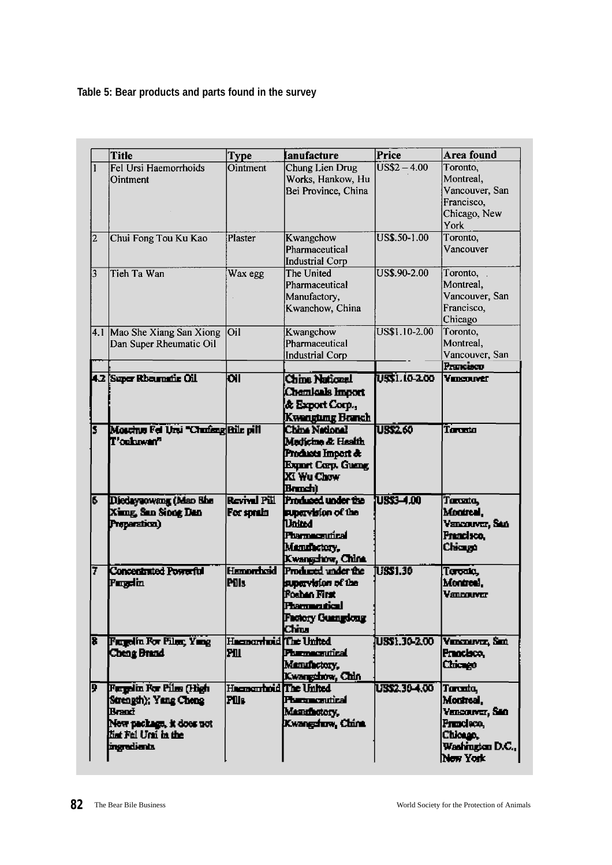# **Table 5: Bear products and parts found in the survey**

|                | <b>Title</b>                                                                                                                | <b>Type</b>                                | <b>Ianufacture</b>                                                                                                   | Price                    | Area found                                                                                        |
|----------------|-----------------------------------------------------------------------------------------------------------------------------|--------------------------------------------|----------------------------------------------------------------------------------------------------------------------|--------------------------|---------------------------------------------------------------------------------------------------|
|                | Fel Ursi Haemorrhoids<br>Ointment                                                                                           | Ointment                                   | Chung Lien Drug<br>Works, Hankow, Hu<br>Bei Province, China                                                          | $\overline{USS2 - 4.00}$ | Toronto,<br>Montreal,<br>Vancouver, San<br>Francisco,<br>Chicago, New<br>York                     |
| $\overline{c}$ | Chui Fong Tou Ku Kao                                                                                                        | Plaster                                    | Kwangchow<br>Pharmaceutical<br><b>Industrial Corp</b>                                                                | US\$.50-1.00             | Toronto,<br>Vancouver                                                                             |
| 3              | Tieh Ta Wan                                                                                                                 | Wax egg                                    | The United<br>Pharmaceutical<br>Manufactory,<br>Kwanchow, China                                                      | US\$.90-2.00             | Toronto,<br>Montreal,<br>Vancouver, San<br>Francisco,<br>Chicago                                  |
|                | 4.1 Mao She Xiang San Xiong Oil<br>Dan Super Rheumatic Oil                                                                  |                                            | Kwangchow<br>Pharmaceutical<br><b>Industrial Corp</b>                                                                | US\$1.10-2.00            | Toronto,<br>Montreal,<br>Vancouver, San<br>Prancisco                                              |
|                | 4.2 Super Rhoumatic Oil                                                                                                     | ЮI                                         | <b>Chine National</b><br>Chemicals Import<br>& Export Corp.,<br>Kwengung Branch                                      | USSI. 10-2.00            | <b>VEDCOUVET</b>                                                                                  |
|                | Moschus Fel Urai "Chafeng Bile pill<br>IT'oskuvan''                                                                         |                                            | China National<br>Medicine & Health<br>Products Import &<br>Export Corp. Guang<br>XI Wu Chow<br><b>Bondi)</b>        | <b>US\$2.60</b>          | Toronto                                                                                           |
| 15.            | Diedayaowang (Mao Bhe<br>Xung, San Sinog Dan<br>Preparation)                                                                | <b>Revival Pill</b><br>For sprain          | Produced under the<br>supervision of the<br>United<br><b>Playmecanical</b><br>Manufactory,<br>Kwangchow, China       | <b>USS3-4.00</b>         | Tanzata,<br>Monreal.<br>Vancouver, San<br>Prencisco.<br>Chicago                                   |
| 7              | <b>Concentrated Powerful</b><br>Fundin                                                                                      | <b>Hamorrhoid</b><br><b>Pils</b>           | <b>Producted under the</b><br>supervision of the<br>Fosban First<br>rtammatical<br><b>Factory Guangdong</b><br>Chiur | USS 1.30                 | Taronia,<br>Montreal.<br>Vancouver                                                                |
| ह              | Famedia For Files, Yang<br>Cheng Brand                                                                                      | Hacmorrhoid <sup>1</sup> The United<br>lрш | <b>Phormaceutical</b><br>Manufactory.<br>Kwangshow, Chin                                                             | USS1.30-2.00             | Vincouvez, Sint<br><b>Practico,</b><br>Chicago                                                    |
| p              | Furnalin For Pilas (High<br>Strength); Yang Cheng<br>Brand<br>New package, it does not<br>tint Fel Umi in the<br>meredients | Hacocutoid The United<br>FWs.              | <b>Pharmaceutical</b><br>Manmotory.<br><b>Xwangduw, China</b>                                                        | US\$2.30-4.00            | Toronto,<br>Montroal.<br>Vancouver, San<br>Prescleco.<br>Chicago.<br>Washington D.C.,<br>New York |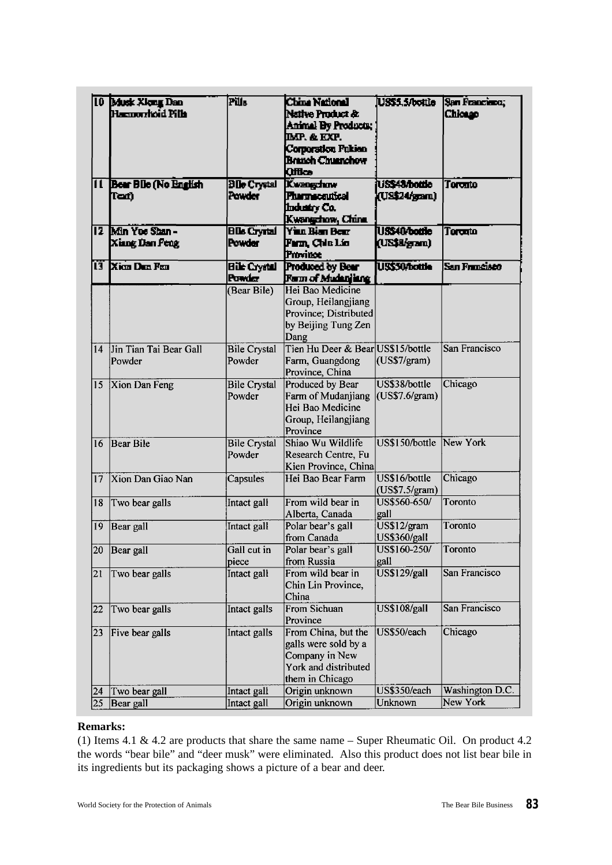| ПL | 10 Musk Xkmg Dan<br>Hasmorrhoid Pills<br><b>Bear Blie (No English</b> | Pils<br><b>Ble Crystal</b>                   | <b>China National</b><br>Native Product &<br>Animal By Products;<br>IMP. & EXP.<br>Corporation Pukien<br><b>Branch Chuanchow</b><br><b>Office</b><br>Kwangchow | USS <sub>5</sub> S/bottle<br>US\$48/bottle | San Francisco;<br>Chicago<br>Toronto |
|----|-----------------------------------------------------------------------|----------------------------------------------|----------------------------------------------------------------------------------------------------------------------------------------------------------------|--------------------------------------------|--------------------------------------|
|    | Ter)                                                                  | Powder                                       | <b>Pharmaceutical</b><br>Industry Co.<br>Kwangchow, China                                                                                                      | (US\$24/gam)                               |                                      |
|    | 12 Min Yoe Shan-<br>Xiang Dan Peng                                    | <b>Blk Crysal</b><br>Powder                  | <b>Y'nn Bian Bear</b><br>Fam, Che Lin<br> Province                                                                                                             | USS40/bottle<br>(US\$8/gam)                | Toronto                              |
|    | <u>i 3   Xian Dan Fan</u>                                             | <b>Bile Crystal</b><br>Powicz<br>(Bear Bile) | <b>Produced by Bear</b><br>Form of Mudanjang<br>Hei Bao Medicine<br>Group, Heilangjiang<br>Province; Distributed<br>by Beijing Tung Zen<br>Dang                | <b>US\$50/bottle</b>                       | San Francisco                        |
| 14 | Jin Tian Tai Bear Gall<br>Powder                                      | <b>Bile Crystal</b><br>Powder                | Tien Hu Deer & Bear US\$15/bottle<br>Farm, Guangdong<br>Province, China                                                                                        | (US\$7/gram)                               | San Francisco                        |
| 15 | Xion Dan Feng                                                         | <b>Bile Crystal</b><br>Powder                | Produced by Bear<br>Farm of Mudanjiang<br>Hei Bao Medicine<br>Group, Heilangjiang<br>Province                                                                  | US\$38/bottle<br>(US\$7.6/gram)            | Chicago                              |
| 16 | <b>Bear Bile</b>                                                      | <b>Bile Crystal</b><br>Powder                | Shiao Wu Wildlife<br>Research Centre, Fu<br>Kien Province, China                                                                                               | US\$150/bottle                             | New York                             |
| 17 | Xion Dan Giao Nan                                                     | Capsules                                     | Hei Bao Bear Farm                                                                                                                                              | US\$16/bottle<br>(US\$7.5/gram)            | Chicago                              |
| 18 | Two bear galls                                                        | Intact gall                                  | From wild bear in<br>Alberta, Canada                                                                                                                           | US\$560-650/<br>gall                       | Toronto                              |
| 19 | Bear gall                                                             | Intact gall                                  | Polar bear's gall<br>from Canada                                                                                                                               | US\$12/gram<br><b>US\$360/gall</b>         | Toronto                              |
|    | 20 Bear gall                                                          | Gall cut in<br>piece                         | Polar bear's gall<br>from Russia                                                                                                                               | US\$160-250/<br>gall                       | Toronto                              |
| 21 | Two bear galls                                                        | Intact gall                                  | From wild bear in<br>Chin Lin Province,<br>China                                                                                                               | US\$129/gall                               | San Francisco                        |
| 22 | Two bear galls                                                        | Intact galls                                 | From Sichuan<br>Province                                                                                                                                       | <b>US\$108/gall</b>                        | San Francisco                        |
| 23 | Five bear galls                                                       | Intact galls                                 | From China, but the<br>galls were sold by a<br>Company in New<br>York and distributed<br>them in Chicago                                                       | US\$50/each                                | Chicago                              |
| 24 | Two bear gall                                                         | Intact gall                                  | Origin unknown                                                                                                                                                 | US\$350/each                               | Washington D.C.                      |
| 25 | Bear gall                                                             | Intact gall                                  | Origin unknown                                                                                                                                                 | Unknown                                    | New York                             |

# **Remarks:**

(1) Items 4.1 & 4.2 are products that share the same name – Super Rheumatic Oil. On product 4.2 the words "bear bile" and "deer musk" were eliminated. Also this product does not list bear bile in its ingredients but its packaging shows a picture of a bear and deer.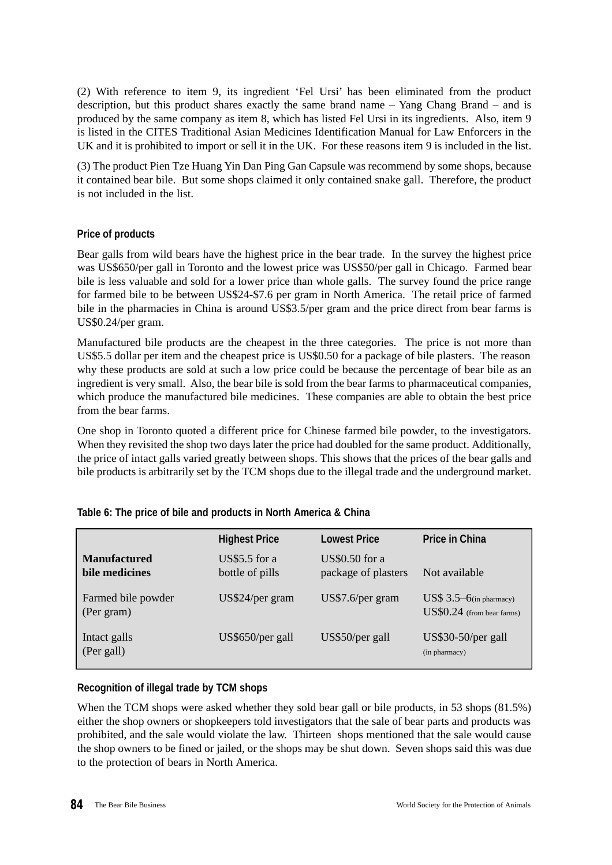(2) With reference to item 9, its ingredient 'Fel Ursi' has been eliminated from the product description, but this product shares exactly the same brand name – Yang Chang Brand – and is produced by the same company as item 8, which has listed Fel Ursi in its ingredients. Also, item 9 is listed in the CITES Traditional Asian Medicines Identification Manual for Law Enforcers in the UK and it is prohibited to import or sell it in the UK. For these reasons item 9 is included in the list.

(3) The product Pien Tze Huang Yin Dan Ping Gan Capsule was recommend by some shops, because it contained bear bile. But some shops claimed it only contained snake gall. Therefore, the product is not included in the list.

# **Price of products**

Bear galls from wild bears have the highest price in the bear trade. In the survey the highest price was US\$650/per gall in Toronto and the lowest price was US\$50/per gall in Chicago. Farmed bear bile is less valuable and sold for a lower price than whole galls. The survey found the price range for farmed bile to be between US\$24-\$7.6 per gram in North America. The retail price of farmed bile in the pharmacies in China is around US\$3.5/per gram and the price direct from bear farms is US\$0.24/per gram.

Manufactured bile products are the cheapest in the three categories. The price is not more than US\$5.5 dollar per item and the cheapest price is US\$0.50 for a package of bile plasters. The reason why these products are sold at such a low price could be because the percentage of bear bile as an ingredient is very small. Also, the bear bile is sold from the bear farms to pharmaceutical companies, which produce the manufactured bile medicines. These companies are able to obtain the best price from the bear farms.

One shop in Toronto quoted a different price for Chinese farmed bile powder, to the investigators. When they revisited the shop two days later the price had doubled for the same product. Additionally, the price of intact galls varied greatly between shops. This shows that the prices of the bear galls and bile products is arbitrarily set by the TCM shops due to the illegal trade and the underground market.

|                                       | <b>Highest Price</b>                    | <b>Lowest Price</b>                   | <b>Price in China</b>                                             |
|---------------------------------------|-----------------------------------------|---------------------------------------|-------------------------------------------------------------------|
| <b>Manufactured</b><br>bile medicines | <b>US\$5.5</b> for a<br>bottle of pills | US\$0.50 for a<br>package of plasters | Not available                                                     |
| Farmed bile powder<br>(Per gram)      | US\$24/per gram                         | US\$7.6/per gram                      | $\overline{USS}$ 3.5–6(in pharmacy)<br>US\$0.24 (from bear farms) |
| Intact galls<br>(Per gall)            | US\$650/per gall                        | US\$50/per gall                       | US\$30-50/per gall<br>(in pharmacy)                               |

#### **Table 6: The price of bile and products in North America & China**

#### **Recognition of illegal trade by TCM shops**

When the TCM shops were asked whether they sold bear gall or bile products, in 53 shops (81.5%) either the shop owners or shopkeepers told investigators that the sale of bear parts and products was prohibited, and the sale would violate the law. Thirteen shops mentioned that the sale would cause the shop owners to be fined or jailed, or the shops may be shut down. Seven shops said this was due to the protection of bears in North America.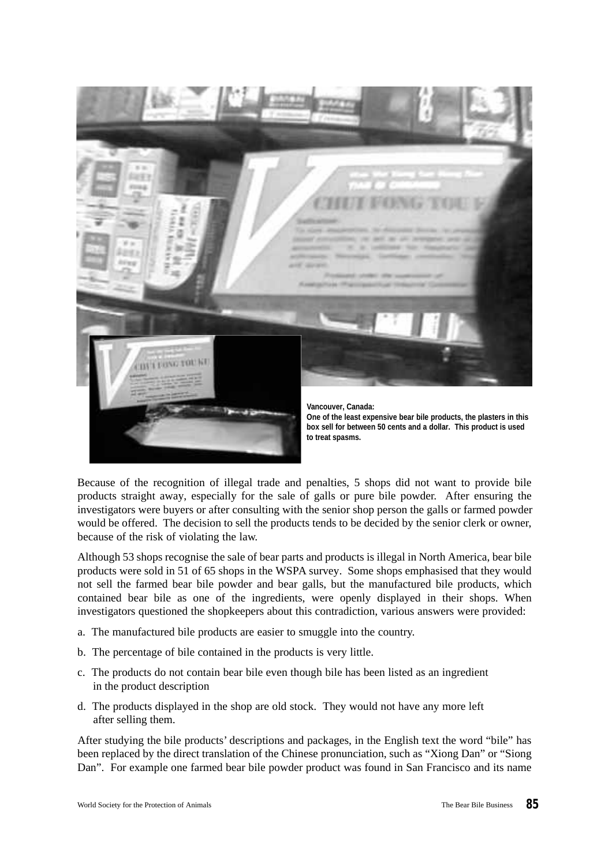

Because of the recognition of illegal trade and penalties, 5 shops did not want to provide bile products straight away, especially for the sale of galls or pure bile powder. After ensuring the investigators were buyers or after consulting with the senior shop person the galls or farmed powder would be offered. The decision to sell the products tends to be decided by the senior clerk or owner, because of the risk of violating the law.

Although 53 shops recognise the sale of bear parts and products is illegal in North America, bear bile products were sold in 51 of 65 shops in the WSPA survey. Some shops emphasised that they would not sell the farmed bear bile powder and bear galls, but the manufactured bile products, which contained bear bile as one of the ingredients, were openly displayed in their shops. When investigators questioned the shopkeepers about this contradiction, various answers were provided:

- a. The manufactured bile products are easier to smuggle into the country.
- b. The percentage of bile contained in the products is very little.
- c. The products do not contain bear bile even though bile has been listed as an ingredient in the product description
- d. The products displayed in the shop are old stock. They would not have any more left after selling them.

After studying the bile products' descriptions and packages, in the English text the word "bile" has been replaced by the direct translation of the Chinese pronunciation, such as "Xiong Dan" or "Siong Dan". For example one farmed bear bile powder product was found in San Francisco and its name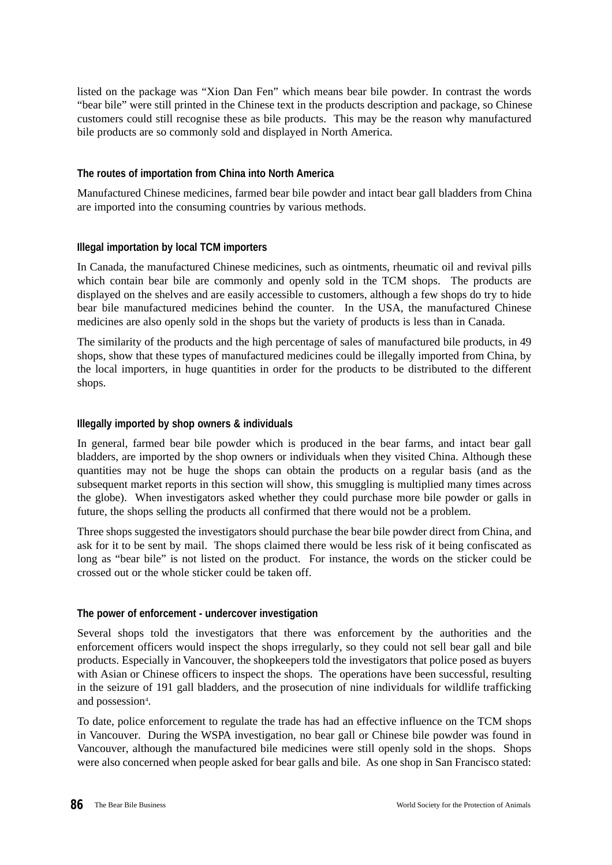listed on the package was "Xion Dan Fen" which means bear bile powder. In contrast the words "bear bile" were still printed in the Chinese text in the products description and package, so Chinese customers could still recognise these as bile products. This may be the reason why manufactured bile products are so commonly sold and displayed in North America.

#### **The routes of importation from China into North America**

Manufactured Chinese medicines, farmed bear bile powder and intact bear gall bladders from China are imported into the consuming countries by various methods.

#### **Illegal importation by local TCM importers**

In Canada, the manufactured Chinese medicines, such as ointments, rheumatic oil and revival pills which contain bear bile are commonly and openly sold in the TCM shops. The products are displayed on the shelves and are easily accessible to customers, although a few shops do try to hide bear bile manufactured medicines behind the counter. In the USA, the manufactured Chinese medicines are also openly sold in the shops but the variety of products is less than in Canada.

The similarity of the products and the high percentage of sales of manufactured bile products, in 49 shops, show that these types of manufactured medicines could be illegally imported from China, by the local importers, in huge quantities in order for the products to be distributed to the different shops.

#### **Illegally imported by shop owners & individuals**

In general, farmed bear bile powder which is produced in the bear farms, and intact bear gall bladders, are imported by the shop owners or individuals when they visited China. Although these quantities may not be huge the shops can obtain the products on a regular basis (and as the subsequent market reports in this section will show, this smuggling is multiplied many times across the globe). When investigators asked whether they could purchase more bile powder or galls in future, the shops selling the products all confirmed that there would not be a problem.

Three shops suggested the investigators should purchase the bear bile powder direct from China, and ask for it to be sent by mail. The shops claimed there would be less risk of it being confiscated as long as "bear bile" is not listed on the product. For instance, the words on the sticker could be crossed out or the whole sticker could be taken off.

#### **The power of enforcement - undercover investigation**

Several shops told the investigators that there was enforcement by the authorities and the enforcement officers would inspect the shops irregularly, so they could not sell bear gall and bile products. Especially in Vancouver, the shopkeepers told the investigators that police posed as buyers with Asian or Chinese officers to inspect the shops. The operations have been successful, resulting in the seizure of 191 gall bladders, and the prosecution of nine individuals for wildlife trafficking and possession<sup>4</sup>.

To date, police enforcement to regulate the trade has had an effective influence on the TCM shops in Vancouver. During the WSPA investigation, no bear gall or Chinese bile powder was found in Vancouver, although the manufactured bile medicines were still openly sold in the shops. Shops were also concerned when people asked for bear galls and bile. As one shop in San Francisco stated: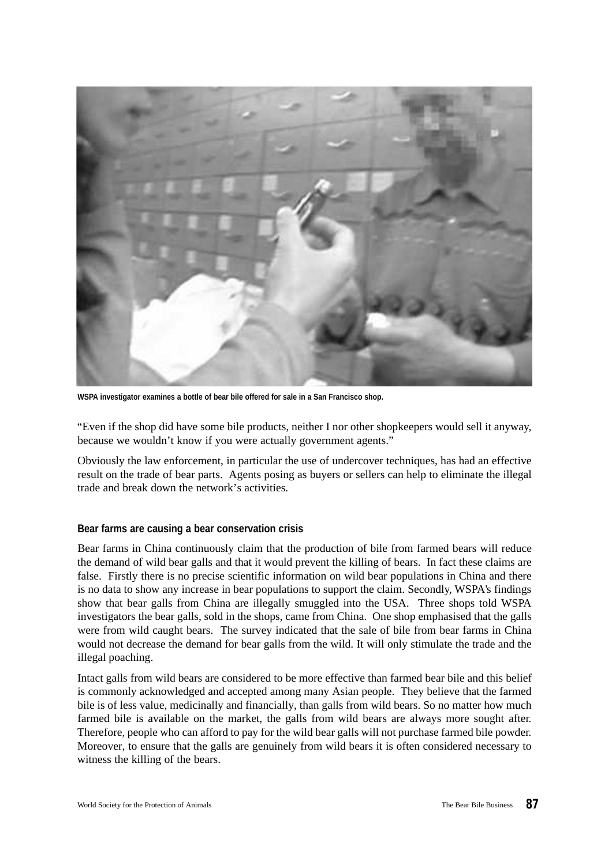

**WSPA investigator examines a bottle of bear bile offered for sale in a San Francisco shop.**

"Even if the shop did have some bile products, neither I nor other shopkeepers would sell it anyway, because we wouldn't know if you were actually government agents."

Obviously the law enforcement, in particular the use of undercover techniques, has had an effective result on the trade of bear parts. Agents posing as buyers or sellers can help to eliminate the illegal trade and break down the network's activities.

#### **Bear farms are causing a bear conservation crisis**

Bear farms in China continuously claim that the production of bile from farmed bears will reduce the demand of wild bear galls and that it would prevent the killing of bears. In fact these claims are false. Firstly there is no precise scientific information on wild bear populations in China and there is no data to show any increase in bear populations to support the claim. Secondly, WSPA's findings show that bear galls from China are illegally smuggled into the USA. Three shops told WSPA investigators the bear galls, sold in the shops, came from China. One shop emphasised that the galls were from wild caught bears. The survey indicated that the sale of bile from bear farms in China would not decrease the demand for bear galls from the wild. It will only stimulate the trade and the illegal poaching.

Intact galls from wild bears are considered to be more effective than farmed bear bile and this belief is commonly acknowledged and accepted among many Asian people. They believe that the farmed bile is of less value, medicinally and financially, than galls from wild bears. So no matter how much farmed bile is available on the market, the galls from wild bears are always more sought after. Therefore, people who can afford to pay for the wild bear galls will not purchase farmed bile powder. Moreover, to ensure that the galls are genuinely from wild bears it is often considered necessary to witness the killing of the bears.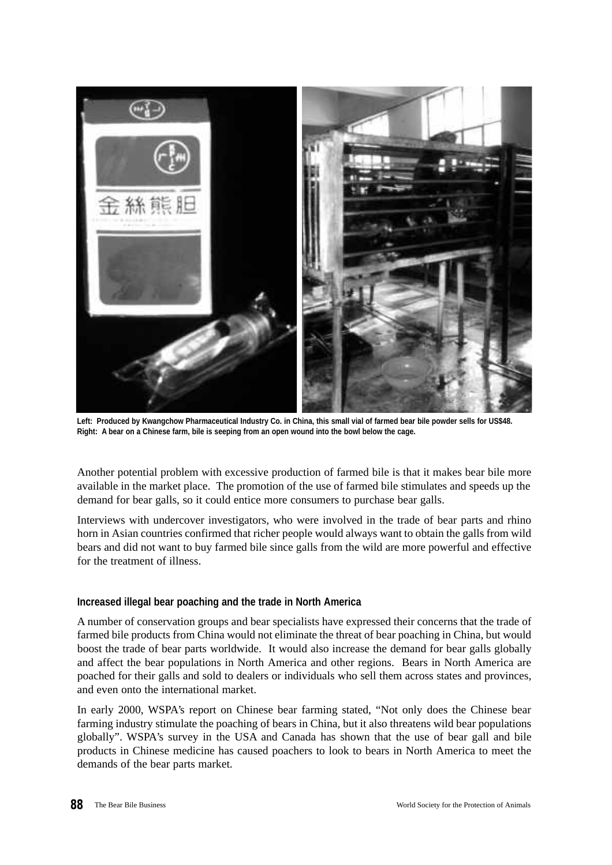

**Left: Produced by Kwangchow Pharmaceutical Industry Co. in China, this small vial of farmed bear bile powder sells for US\$48. Right: A bear on a Chinese farm, bile is seeping from an open wound into the bowl below the cage.**

Another potential problem with excessive production of farmed bile is that it makes bear bile more available in the market place. The promotion of the use of farmed bile stimulates and speeds up the demand for bear galls, so it could entice more consumers to purchase bear galls.

Interviews with undercover investigators, who were involved in the trade of bear parts and rhino horn in Asian countries confirmed that richer people would always want to obtain the galls from wild bears and did not want to buy farmed bile since galls from the wild are more powerful and effective for the treatment of illness.

#### **Increased illegal bear poaching and the trade in North America**

A number of conservation groups and bear specialists have expressed their concerns that the trade of farmed bile products from China would not eliminate the threat of bear poaching in China, but would boost the trade of bear parts worldwide. It would also increase the demand for bear galls globally and affect the bear populations in North America and other regions. Bears in North America are poached for their galls and sold to dealers or individuals who sell them across states and provinces, and even onto the international market.

In early 2000, WSPA's report on Chinese bear farming stated, "Not only does the Chinese bear farming industry stimulate the poaching of bears in China, but it also threatens wild bear populations globally". WSPA's survey in the USA and Canada has shown that the use of bear gall and bile products in Chinese medicine has caused poachers to look to bears in North America to meet the demands of the bear parts market.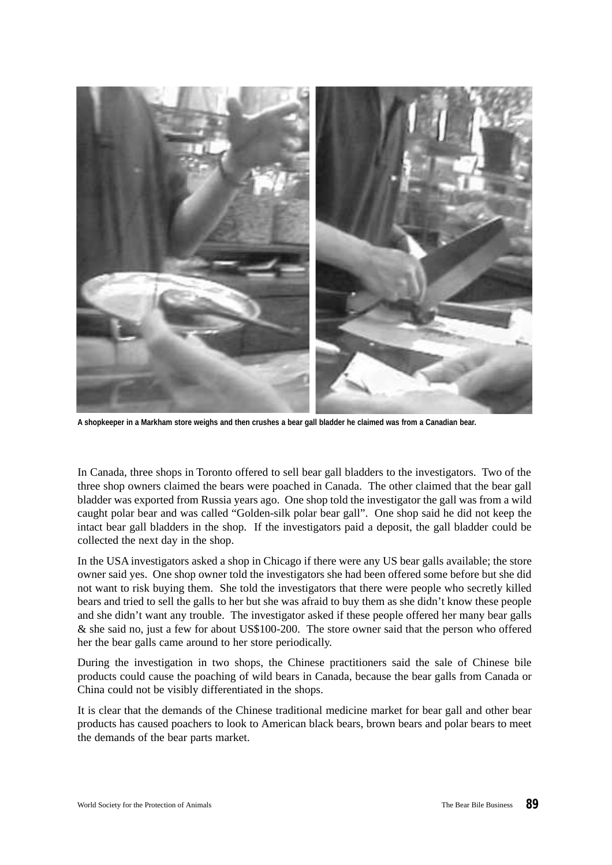

**A shopkeeper in a Markham store weighs and then crushes a bear gall bladder he claimed was from a Canadian bear.**

In Canada, three shops in Toronto offered to sell bear gall bladders to the investigators. Two of the three shop owners claimed the bears were poached in Canada. The other claimed that the bear gall bladder was exported from Russia years ago. One shop told the investigator the gall was from a wild caught polar bear and was called "Golden-silk polar bear gall". One shop said he did not keep the intact bear gall bladders in the shop. If the investigators paid a deposit, the gall bladder could be collected the next day in the shop.

In the USA investigators asked a shop in Chicago if there were any US bear galls available; the store owner said yes. One shop owner told the investigators she had been offered some before but she did not want to risk buying them. She told the investigators that there were people who secretly killed bears and tried to sell the galls to her but she was afraid to buy them as she didn't know these people and she didn't want any trouble. The investigator asked if these people offered her many bear galls & she said no, just a few for about US\$100-200. The store owner said that the person who offered her the bear galls came around to her store periodically.

During the investigation in two shops, the Chinese practitioners said the sale of Chinese bile products could cause the poaching of wild bears in Canada, because the bear galls from Canada or China could not be visibly differentiated in the shops.

It is clear that the demands of the Chinese traditional medicine market for bear gall and other bear products has caused poachers to look to American black bears, brown bears and polar bears to meet the demands of the bear parts market.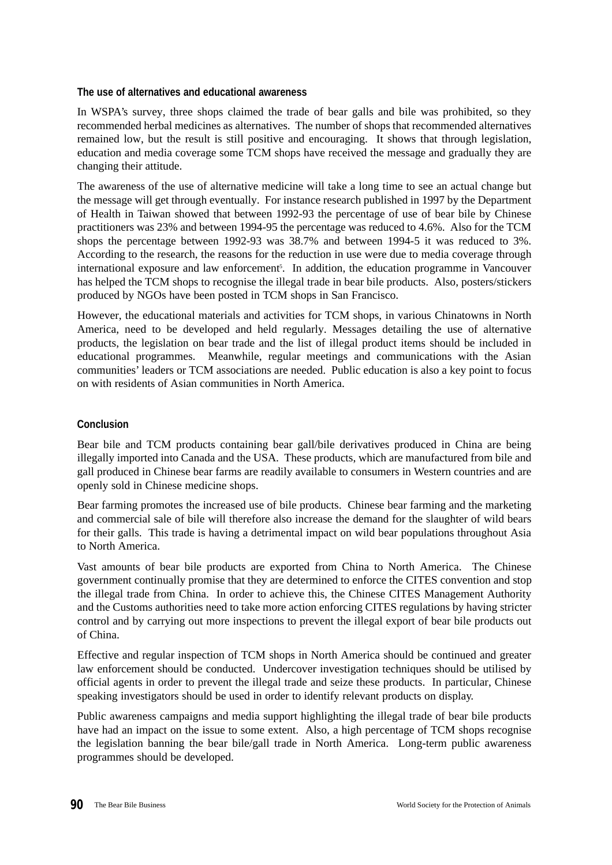## **The use of alternatives and educational awareness**

In WSPA's survey, three shops claimed the trade of bear galls and bile was prohibited, so they recommended herbal medicines as alternatives. The number of shops that recommended alternatives remained low, but the result is still positive and encouraging. It shows that through legislation, education and media coverage some TCM shops have received the message and gradually they are changing their attitude.

The awareness of the use of alternative medicine will take a long time to see an actual change but the message will get through eventually. For instance research published in 1997 by the Department of Health in Taiwan showed that between 1992-93 the percentage of use of bear bile by Chinese practitioners was 23% and between 1994-95 the percentage was reduced to 4.6%. Also for the TCM shops the percentage between 1992-93 was 38.7% and between 1994-5 it was reduced to 3%. According to the research, the reasons for the reduction in use were due to media coverage through international exposure and law enforcement<sup>5</sup>. In addition, the education programme in Vancouver has helped the TCM shops to recognise the illegal trade in bear bile products. Also, posters/stickers produced by NGOs have been posted in TCM shops in San Francisco.

However, the educational materials and activities for TCM shops, in various Chinatowns in North America, need to be developed and held regularly. Messages detailing the use of alternative products, the legislation on bear trade and the list of illegal product items should be included in educational programmes. Meanwhile, regular meetings and communications with the Asian communities' leaders or TCM associations are needed. Public education is also a key point to focus on with residents of Asian communities in North America.

# **Conclusion**

Bear bile and TCM products containing bear gall/bile derivatives produced in China are being illegally imported into Canada and the USA. These products, which are manufactured from bile and gall produced in Chinese bear farms are readily available to consumers in Western countries and are openly sold in Chinese medicine shops.

Bear farming promotes the increased use of bile products. Chinese bear farming and the marketing and commercial sale of bile will therefore also increase the demand for the slaughter of wild bears for their galls. This trade is having a detrimental impact on wild bear populations throughout Asia to North America.

Vast amounts of bear bile products are exported from China to North America. The Chinese government continually promise that they are determined to enforce the CITES convention and stop the illegal trade from China. In order to achieve this, the Chinese CITES Management Authority and the Customs authorities need to take more action enforcing CITES regulations by having stricter control and by carrying out more inspections to prevent the illegal export of bear bile products out of China.

Effective and regular inspection of TCM shops in North America should be continued and greater law enforcement should be conducted. Undercover investigation techniques should be utilised by official agents in order to prevent the illegal trade and seize these products. In particular, Chinese speaking investigators should be used in order to identify relevant products on display.

Public awareness campaigns and media support highlighting the illegal trade of bear bile products have had an impact on the issue to some extent. Also, a high percentage of TCM shops recognise the legislation banning the bear bile/gall trade in North America. Long-term public awareness programmes should be developed.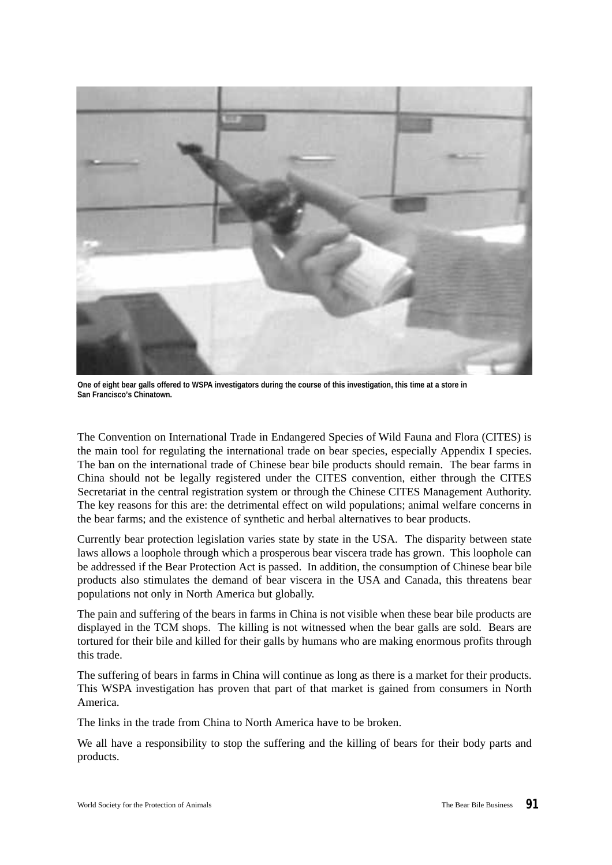

**One of eight bear galls offered to WSPA investigators during the course of this investigation, this time at a store in San Francisco's Chinatown.**

The Convention on International Trade in Endangered Species of Wild Fauna and Flora (CITES) is the main tool for regulating the international trade on bear species, especially Appendix I species. The ban on the international trade of Chinese bear bile products should remain. The bear farms in China should not be legally registered under the CITES convention, either through the CITES Secretariat in the central registration system or through the Chinese CITES Management Authority. The key reasons for this are: the detrimental effect on wild populations; animal welfare concerns in the bear farms; and the existence of synthetic and herbal alternatives to bear products.

Currently bear protection legislation varies state by state in the USA. The disparity between state laws allows a loophole through which a prosperous bear viscera trade has grown. This loophole can be addressed if the Bear Protection Act is passed. In addition, the consumption of Chinese bear bile products also stimulates the demand of bear viscera in the USA and Canada, this threatens bear populations not only in North America but globally.

The pain and suffering of the bears in farms in China is not visible when these bear bile products are displayed in the TCM shops. The killing is not witnessed when the bear galls are sold. Bears are tortured for their bile and killed for their galls by humans who are making enormous profits through this trade.

The suffering of bears in farms in China will continue as long as there is a market for their products. This WSPA investigation has proven that part of that market is gained from consumers in North America.

The links in the trade from China to North America have to be broken.

We all have a responsibility to stop the suffering and the killing of bears for their body parts and products.